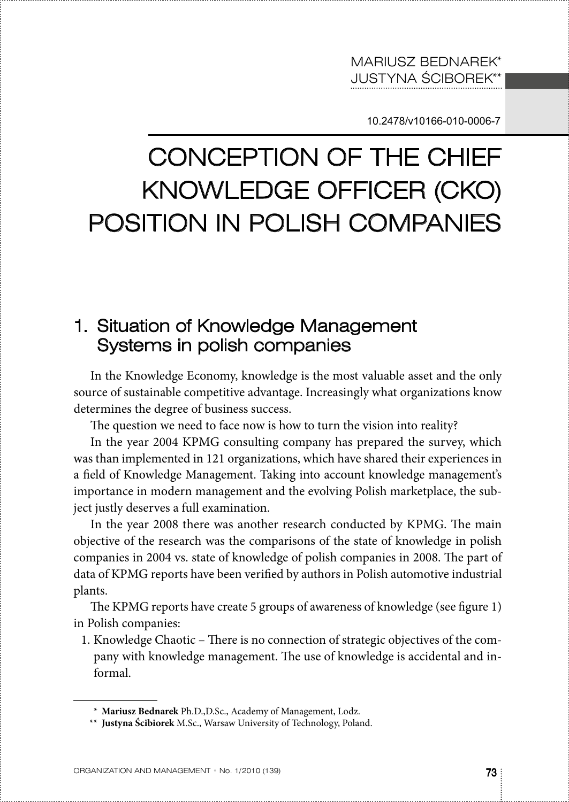10.2478/v10166-010-0006-7

# Conception of the chief knowledge officer (CKO) position in polish companies

## 1. Situation of Knowledge Management Systems in polish companies

In the Knowledge Economy, knowledge is the most valuable asset and the only source of sustainable competitive advantage. Increasingly what organizations know determines the degree of business success.

The question we need to face now is how to turn the vision into reality?

In the year 2004 KPMG consulting company has prepared the survey, which was than implemented in 121 organizations, which have shared their experiences in a field of Knowledge Management. Taking into account knowledge management's importance in modern management and the evolving Polish marketplace, the subject justly deserves a full examination.

In the year 2008 there was another research conducted by KPMG. The main objective of the research was the comparisons of the state of knowledge in polish companies in 2004 vs. state of knowledge of polish companies in 2008. The part of data of KPMG reports have been verified by authors in Polish automotive industrial plants.

The KPMG reports have create 5 groups of awareness of knowledge (see figure 1) in Polish companies:

1. Knowledge Chaotic – There is no connection of strategic objectives of the company with knowledge management. The use of knowledge is accidental and informal.

<sup>\*</sup> **Mariusz Bednarek** Ph.D.,D.Sc., Academy of Management, Lodz.

<sup>\*\*</sup> **Justyna Ścibiorek** M.Sc., Warsaw University of Technology, Poland.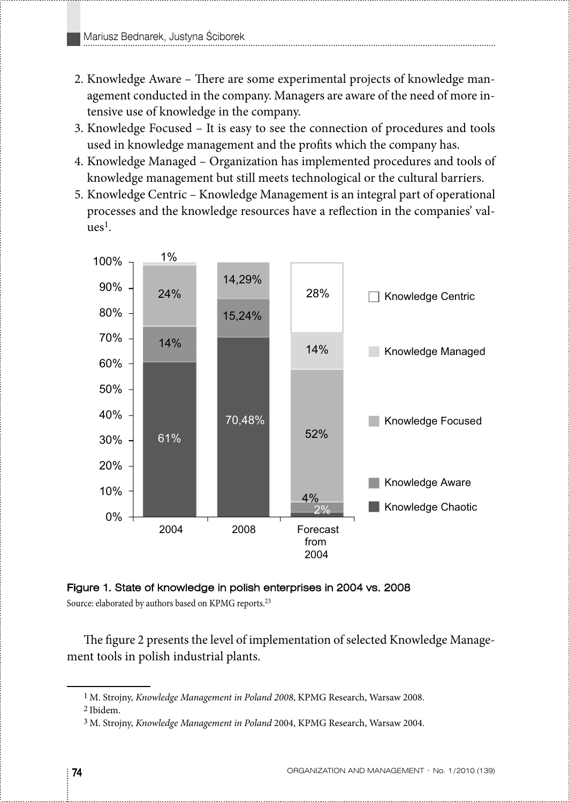- 2. Knowledge Aware There are some experimental projects of knowledge management conducted in the company. Managers are aware of the need of more intensive use of knowledge in the company.
- 3. Knowledge Focused It is easy to see the connection of procedures and tools used in knowledge management and the profits which the company has.
- 4. Knowledge Managed Organization has implemented procedures and tools of knowledge management but still meets technological or the cultural barriers.
- 5. Knowledge Centric Knowledge Management is an integral part of operational processes and the knowledge resources have a reflection in the companies' val- $_{11}$ es $^{1}$ .





Source: elaborated by authors based on KPMG reports.<sup>23</sup>

The figure 2 presents the level of implementation of selected Knowledge Management tools in polish industrial plants.

<sup>1</sup> M. Strojny, *Knowledge Management in Poland 2008*, KPMG Research, Warsaw 2008.

<sup>2</sup> Ibidem.

<sup>3</sup> M. Strojny, *Knowledge Management in Poland* 2004, KPMG Research, Warsaw 2004.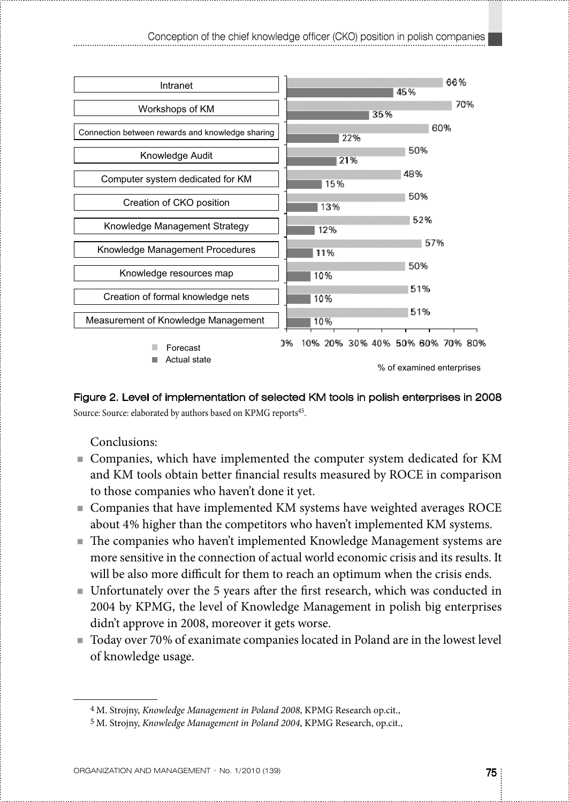

Figure 2. Level of implementation of selected KM tools in polish enterprises in 2008 Source: Source: elaborated by authors based on KPMG reports<sup>45</sup>.

Conclusions:

- Companies, which have implemented the computer system dedicated for KM and KM tools obtain better financial results measured by ROCE in comparison to those companies who haven't done it yet.
- Companies that have implemented KM systems have weighted averages ROCE about 4% higher than the competitors who haven't implemented KM systems.
- The companies who haven't implemented Knowledge Management systems are more sensitive in the connection of actual world economic crisis and its results. It will be also more difficult for them to reach an optimum when the crisis ends.
- Unfortunately over the 5 years after the first research, which was conducted in 2004 by KPMG, the level of Knowledge Management in polish big enterprises didn't approve in 2008, moreover it gets worse.
- Today over 70% of exanimate companies located in Poland are in the lowest level of knowledge usage.

<sup>4</sup> M. Strojny, *Knowledge Management in Poland 2008*, KPMG Research op.cit.,

<sup>5</sup> M. Strojny, *Knowledge Management in Poland 2004*, KPMG Research, op.cit.,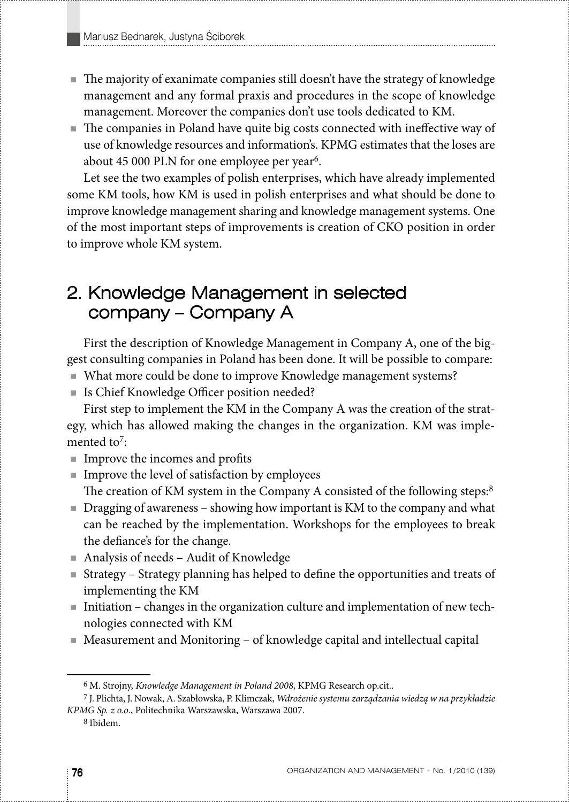- The majority of exanimate companies still doesn't have the strategy of knowledge management and any formal praxis and procedures in the scope of knowledge management. Moreover the companies don't use tools dedicated to KM.
- The companies in Poland have quite big costs connected with ineffective way of use of knowledge resources and information's. KPMG estimates that the loses are about 45 000 PLN for one employee per year<sup>6</sup>.

Let see the two examples of polish enterprises, which have already implemented some KM tools, how KM is used in polish enterprises and what should be done to improve knowledge management sharing and knowledge management systems. One of the most important steps of improvements is creation of CKO position in order to improve whole KM system.

### 2. Knowledge Management in selected company – Company A

First the description of Knowledge Management in Company A, one of the biggest consulting companies in Poland has been done. It will be possible to compare:

- What more could be done to improve Knowledge management systems?
- Is Chief Knowledge Officer position needed?

First step to implement the KM in the Company A was the creation of the strategy, which has allowed making the changes in the organization. KM was implemented to<sup>7</sup>:

- Improve the incomes and profits
- $\blacksquare$  Improve the level of satisfaction by employees The creation of KM system in the Company A consisted of the following steps:<sup>8</sup>
- Dragging of awareness showing how important is KM to the company and what can be reached by the implementation. Workshops for the employees to break the defiance's for the change.
- Analysis of needs Audit of Knowledge
- Strategy Strategy planning has helped to define the opportunities and treats of implementing the KM
- Initiation changes in the organization culture and implementation of new technologies connected with KM
- Measurement and Monitoring of knowledge capital and intellectual capital

<sup>6</sup> M. Strojny, *Knowledge Management in Poland 2008*, KPMG Research op.cit..

<sup>7</sup> J. Plichta, J. Nowak, A. Szabłowska, P. Klimczak, *Wdrożenie systemu zarządzania wiedzą w na przykładzie KPMG Sp. z o.o*., Politechnika Warszawska, Warszawa 2007.

<sup>8</sup> Ibidem.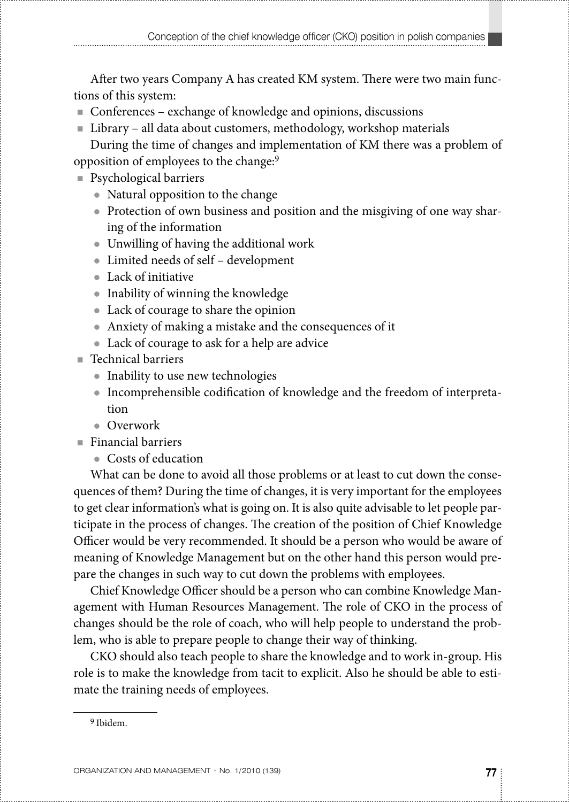After two years Company A has created KM system. There were two main functions of this system:

- Conferences exchange of knowledge and opinions, discussions
- Library all data about customers, methodology, workshop materials

During the time of changes and implementation of KM there was a problem of opposition of employees to the change:9

- Psychological barriers
	- $\bullet$  Natural opposition to the change
	- Protection of own business and position and the misgiving of one way sharing of the information
	- Unwilling of having the additional work
	- Limited needs of self development
	- Lack of initiative
	- Inability of winning the knowledge
	- Lack of courage to share the opinion
	- Anxiety of making a mistake and the consequences of it
	- Lack of courage to ask for a help are advice
- Technical barriers
	- Inability to use new technologies
	- Incomprehensible codification of knowledge and the freedom of interpretation
	- $\bullet$  Overwork
- $\blacksquare$  Financial barriers
	- Costs of education

What can be done to avoid all those problems or at least to cut down the consequences of them? During the time of changes, it is very important for the employees to get clear information's what is going on. It is also quite advisable to let people participate in the process of changes. The creation of the position of Chief Knowledge Officer would be very recommended. It should be a person who would be aware of meaning of Knowledge Management but on the other hand this person would prepare the changes in such way to cut down the problems with employees.

Chief Knowledge Officer should be a person who can combine Knowledge Management with Human Resources Management. The role of CKO in the process of changes should be the role of coach, who will help people to understand the problem, who is able to prepare people to change their way of thinking.

CKO should also teach people to share the knowledge and to work in-group. His role is to make the knowledge from tacit to explicit. Also he should be able to estimate the training needs of employees.

<sup>9</sup> Ibidem.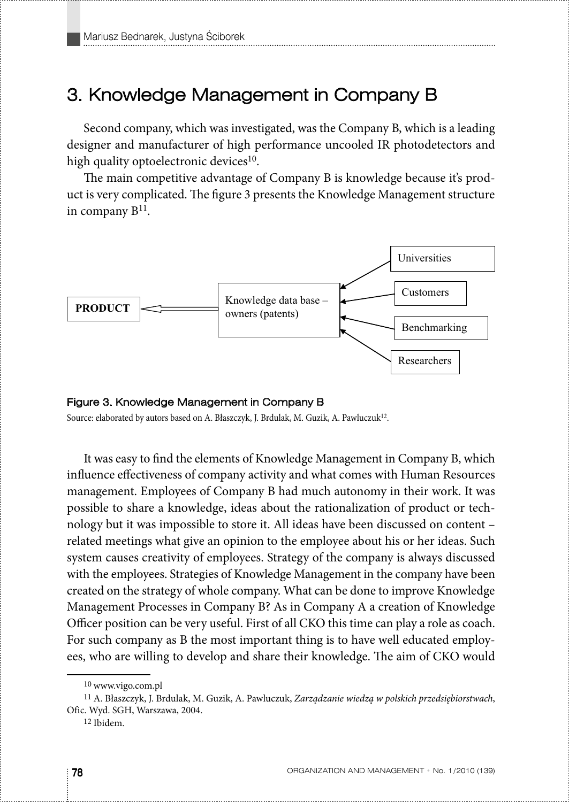### 3. Knowledge Management in Company B

Second company, which was investigated, was the Company B, which is a leading designer and manufacturer of high performance uncooled IR photodetectors and high quality optoelectronic devices<sup>10</sup>.

The main competitive advantage of Company B is knowledge because it's product is very complicated. The figure 3 presents the Knowledge Management structure in company  $B<sup>11</sup>$ .



#### Figure 3. Knowledge Management in Company B

Source: elaborated by autors based on A. Błaszczyk, J. Brdulak, M. Guzik, A. Pawluczuk<sup>12</sup>.

It was easy to find the elements of Knowledge Management in Company B, which influence effectiveness of company activity and what comes with Human Resources management. Employees of Company B had much autonomy in their work. It was possible to share a knowledge, ideas about the rationalization of product or technology but it was impossible to store it. All ideas have been discussed on content – related meetings what give an opinion to the employee about his or her ideas. Such system causes creativity of employees. Strategy of the company is always discussed with the employees. Strategies of Knowledge Management in the company have been created on the strategy of whole company. What can be done to improve Knowledge Management Processes in Company B? As in Company A a creation of Knowledge Officer position can be very useful. First of all CKO this time can play a role as coach. For such company as B the most important thing is to have well educated employees, who are willing to develop and share their knowledge. The aim of CKO would

<sup>10</sup> www.vigo.com.pl

<sup>11</sup> A. Błaszczyk, J. Brdulak, M. Guzik, A. Pawluczuk, *Zarządzanie wiedzą w polskich przedsiębiorstwach*, Ofic. Wyd. SGH, Warszawa, 2004.

<sup>12</sup> Ibidem.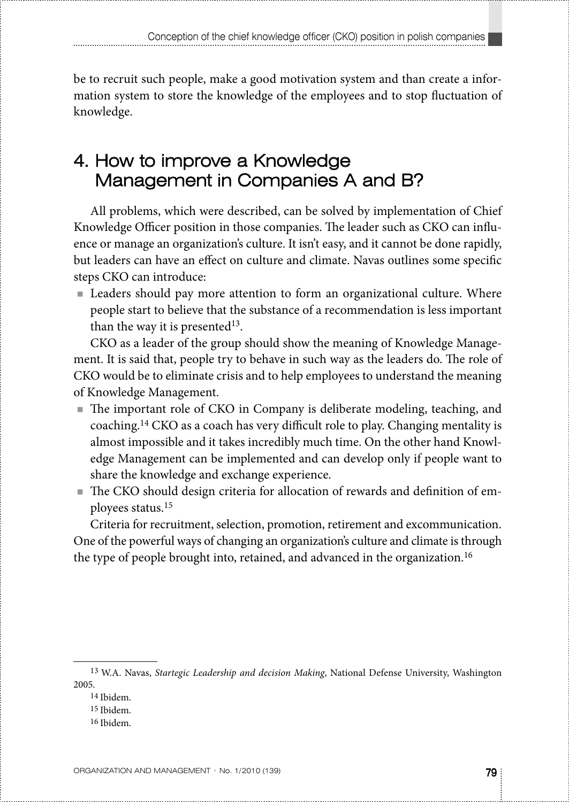be to recruit such people, make a good motivation system and than create a information system to store the knowledge of the employees and to stop fluctuation of knowledge.

# 4. How to improve a Knowledge Management in Companies A and B?

All problems, which were described, can be solved by implementation of Chief Knowledge Officer position in those companies. The leader such as CKO can influence or manage an organization's culture. It isn't easy, and it cannot be done rapidly, but leaders can have an effect on culture and climate. Navas outlines some specific steps CKO can introduce:

■ Leaders should pay more attention to form an organizational culture. Where people start to believe that the substance of a recommendation is less important than the way it is presented<sup>13</sup>.

CKO as a leader of the group should show the meaning of Knowledge Management. It is said that, people try to behave in such way as the leaders do. The role of CKO would be to eliminate crisis and to help employees to understand the meaning of Knowledge Management.

- The important role of CKO in Company is deliberate modeling, teaching, and coaching.14 CKO as a coach has very difficult role to play. Changing mentality is almost impossible and it takes incredibly much time. On the other hand Knowledge Management can be implemented and can develop only if people want to share the knowledge and exchange experience.
- The CKO should design criteria for allocation of rewards and definition of employees status.15

Criteria for recruitment, selection, promotion, retirement and excommunication. One of the powerful ways of changing an organization's culture and climate is through the type of people brought into, retained, and advanced in the organization.<sup>16</sup>

16 Ibidem.

<sup>13</sup> W.A. Navas, *Startegic Leadership and decision Making*, National Defense University, Washington 2005.

<sup>14</sup> Ibidem.

<sup>15</sup> Ibidem.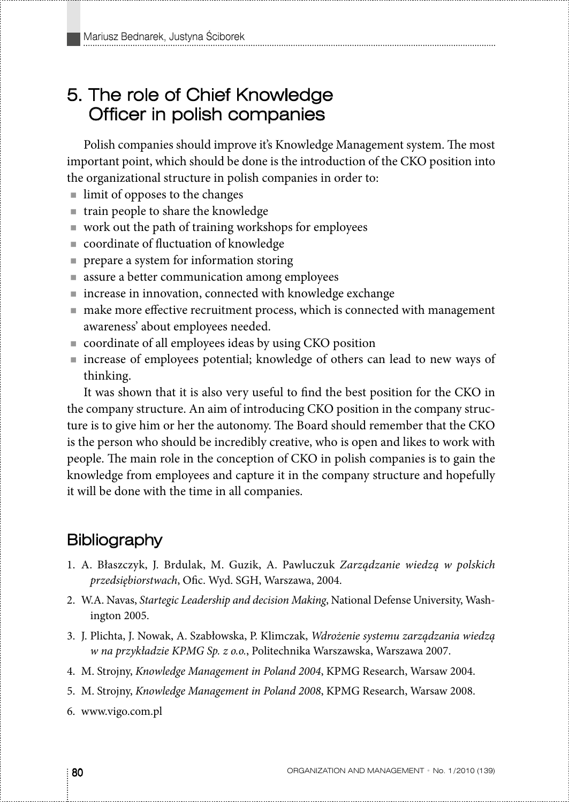## 5. The role of Chief Knowledge Officer in polish companies

Polish companies should improve it's Knowledge Management system. The most important point, which should be done is the introduction of the CKO position into the organizational structure in polish companies in order to:

- limit of opposes to the changes
- $\blacksquare$  train people to share the knowledge
- $\blacksquare$  work out the path of training workshops for employees
- coordinate of fluctuation of knowledge
- **PEDIA** prepare a system for information storing
- assure a better communication among employees
- increase in innovation, connected with knowledge exchange
- make more effective recruitment process, which is connected with management awareness' about employees needed.
- coordinate of all employees ideas by using CKO position
- increase of employees potential; knowledge of others can lead to new ways of thinking.

It was shown that it is also very useful to find the best position for the CKO in the company structure. An aim of introducing CKO position in the company structure is to give him or her the autonomy. The Board should remember that the CKO is the person who should be incredibly creative, who is open and likes to work with people. The main role in the conception of CKO in polish companies is to gain the knowledge from employees and capture it in the company structure and hopefully it will be done with the time in all companies.

### **Bibliography**

- 1. A. Błaszczyk, J. Brdulak, M. Guzik, A. Pawluczuk *Zarządzanie wiedzą w polskich przedsiębiorstwach*, Ofic. Wyd. SGH, Warszawa, 2004.
- 2. W.A. Navas, *Startegic Leadership and decision Making*, National Defense University, Washington 2005.
- 3. J. Plichta, J. Nowak, A. Szabłowska, P. Klimczak, *Wdrożenie systemu zarządzania wiedzą w na przykładzie KPMG Sp. z o.o.*, Politechnika Warszawska, Warszawa 2007.
- 4. M. Strojny, *Knowledge Management in Poland 2004*, KPMG Research, Warsaw 2004.
- 5. M. Strojny, *Knowledge Management in Poland 2008*, KPMG Research, Warsaw 2008.
- 6. www.vigo.com.pl